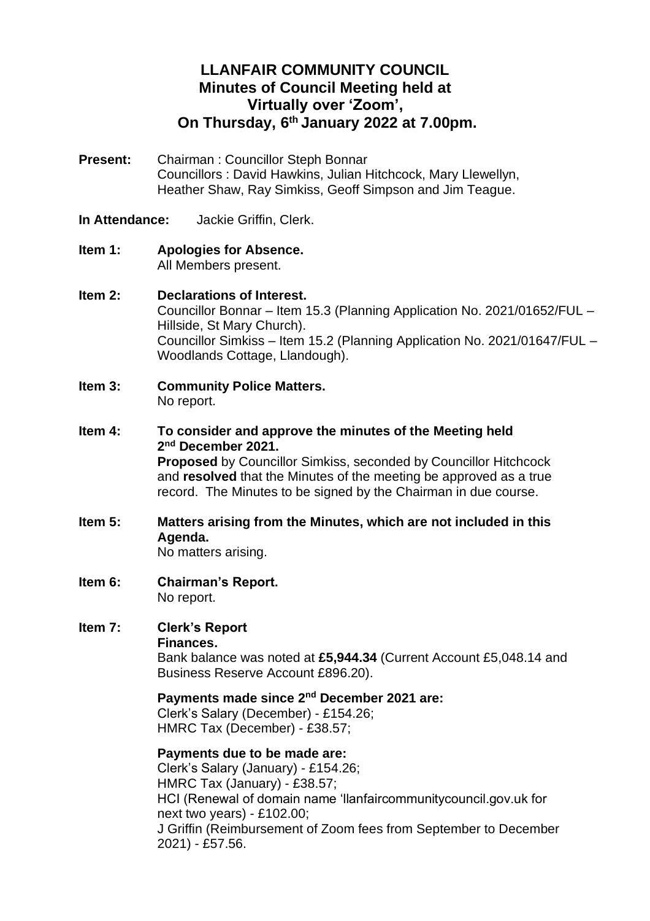# **LLANFAIR COMMUNITY COUNCIL Minutes of Council Meeting held at Virtually over 'Zoom', On Thursday, 6 th January 2022 at 7.00pm.**

- **Present:** Chairman : Councillor Steph Bonnar Councillors : David Hawkins, Julian Hitchcock, Mary Llewellyn, Heather Shaw, Ray Simkiss, Geoff Simpson and Jim Teague.
- **In Attendance:** Jackie Griffin, Clerk.
- **Item 1: Apologies for Absence.** All Members present.

#### **Item 2: Declarations of Interest.**

Councillor Bonnar – Item 15.3 (Planning Application No. 2021/01652/FUL – Hillside, St Mary Church). Councillor Simkiss – Item 15.2 (Planning Application No. 2021/01647/FUL – Woodlands Cottage, Llandough).

- **Item 3: Community Police Matters.** No report.
- **Item 4: To consider and approve the minutes of the Meeting held 2 nd December 2021. Proposed** by Councillor Simkiss, seconded by Councillor Hitchcock and **resolved** that the Minutes of the meeting be approved as a true record. The Minutes to be signed by the Chairman in due course.
- **Item 5: Matters arising from the Minutes, which are not included in this Agenda.**

No matters arising.

**Item 6: Chairman's Report.** No report.

#### **Item 7: Clerk's Report Finances.**

Bank balance was noted at **£5,944.34** (Current Account £5,048.14 and Business Reserve Account £896.20).

#### **Payments made since 2<sup>nd</sup> December 2021 are:**

Clerk's Salary (December) - £154.26; HMRC Tax (December) - £38.57;

### **Payments due to be made are:**

Clerk's Salary (January) - £154.26; HMRC Tax (January) - £38.57; HCI (Renewal of domain name 'llanfaircommunitycouncil.gov.uk for next two years) - £102.00; J Griffin (Reimbursement of Zoom fees from September to December 2021) - £57.56.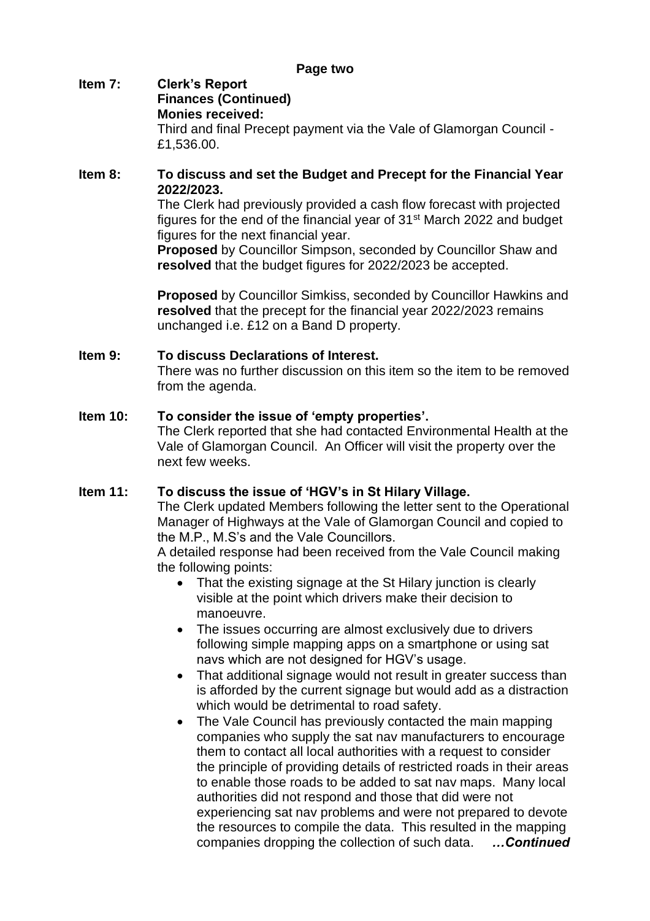#### **Item 7: Clerk's Report Finances (Continued) Monies received:** Third and final Precept payment via the Vale of Glamorgan Council - £1,536.00.

### **Item 8: To discuss and set the Budget and Precept for the Financial Year 2022/2023.**

The Clerk had previously provided a cash flow forecast with projected figures for the end of the financial year of 31st March 2022 and budget figures for the next financial year.

**Proposed** by Councillor Simpson, seconded by Councillor Shaw and **resolved** that the budget figures for 2022/2023 be accepted.

**Proposed** by Councillor Simkiss, seconded by Councillor Hawkins and **resolved** that the precept for the financial year 2022/2023 remains unchanged i.e. £12 on a Band D property.

# **Item 9: To discuss Declarations of Interest.**

There was no further discussion on this item so the item to be removed from the agenda.

### **Item 10: To consider the issue of 'empty properties'.**

The Clerk reported that she had contacted Environmental Health at the Vale of Glamorgan Council. An Officer will visit the property over the next few weeks.

# **Item 11: To discuss the issue of 'HGV's in St Hilary Village.**

The Clerk updated Members following the letter sent to the Operational Manager of Highways at the Vale of Glamorgan Council and copied to the M.P., M.S's and the Vale Councillors.

A detailed response had been received from the Vale Council making the following points:

- That the existing signage at the St Hilary junction is clearly visible at the point which drivers make their decision to manoeuvre.
- The issues occurring are almost exclusively due to drivers following simple mapping apps on a smartphone or using sat navs which are not designed for HGV's usage.
- That additional signage would not result in greater success than is afforded by the current signage but would add as a distraction which would be detrimental to road safety.
- The Vale Council has previously contacted the main mapping companies who supply the sat nav manufacturers to encourage them to contact all local authorities with a request to consider the principle of providing details of restricted roads in their areas to enable those roads to be added to sat nav maps. Many local authorities did not respond and those that did were not experiencing sat nav problems and were not prepared to devote the resources to compile the data. This resulted in the mapping companies dropping the collection of such data. *…Continued*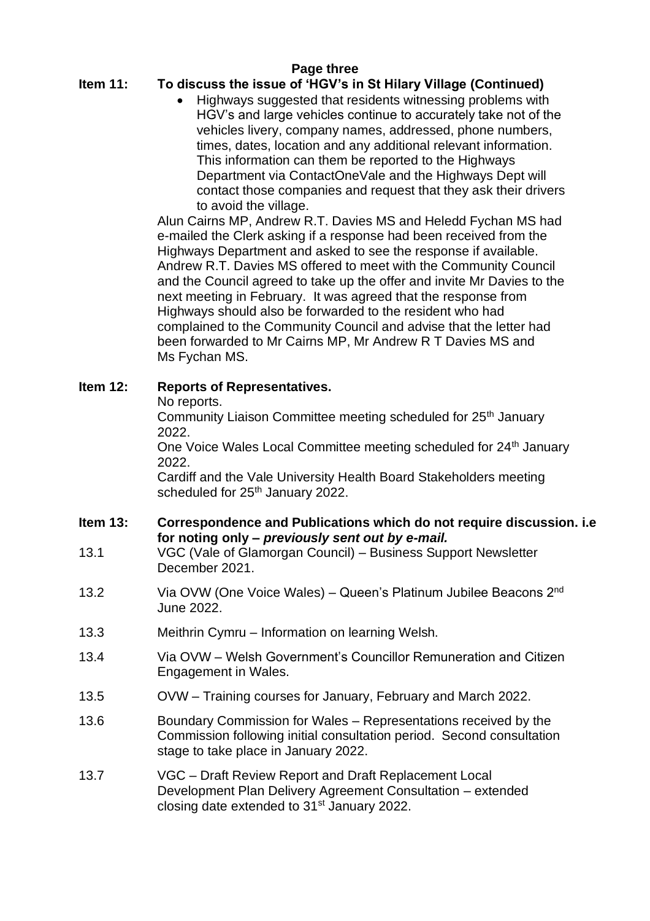### **Page three**

# **Item 11: To discuss the issue of 'HGV's in St Hilary Village (Continued)**

• Highways suggested that residents witnessing problems with HGV's and large vehicles continue to accurately take not of the vehicles livery, company names, addressed, phone numbers, times, dates, location and any additional relevant information. This information can them be reported to the Highways Department via ContactOneVale and the Highways Dept will contact those companies and request that they ask their drivers to avoid the village.

Alun Cairns MP, Andrew R.T. Davies MS and Heledd Fychan MS had e-mailed the Clerk asking if a response had been received from the Highways Department and asked to see the response if available. Andrew R.T. Davies MS offered to meet with the Community Council and the Council agreed to take up the offer and invite Mr Davies to the next meeting in February. It was agreed that the response from Highways should also be forwarded to the resident who had complained to the Community Council and advise that the letter had been forwarded to Mr Cairns MP, Mr Andrew R T Davies MS and Ms Fychan MS.

### **Item 12: Reports of Representatives.**

No reports.

Community Liaison Committee meeting scheduled for 25<sup>th</sup> January 2022.

One Voice Wales Local Committee meeting scheduled for 24<sup>th</sup> January 2022.

Cardiff and the Vale University Health Board Stakeholders meeting scheduled for 25<sup>th</sup> January 2022.

#### **Item 13: Correspondence and Publications which do not require discussion. i.e for noting only –** *previously sent out by e-mail.*

- 13.1 VGC (Vale of Glamorgan Council) Business Support Newsletter December 2021.
- 13.2 Via OVW (One Voice Wales) Queen's Platinum Jubilee Beacons 2nd June 2022.
- 13.3 Meithrin Cymru Information on learning Welsh.
- 13.4 Via OVW Welsh Government's Councillor Remuneration and Citizen Engagement in Wales.
- 13.5 OVW Training courses for January, February and March 2022.
- 13.6 Boundary Commission for Wales Representations received by the Commission following initial consultation period. Second consultation stage to take place in January 2022.
- 13.7 VGC Draft Review Report and Draft Replacement Local Development Plan Delivery Agreement Consultation – extended closing date extended to 31<sup>st</sup> January 2022.